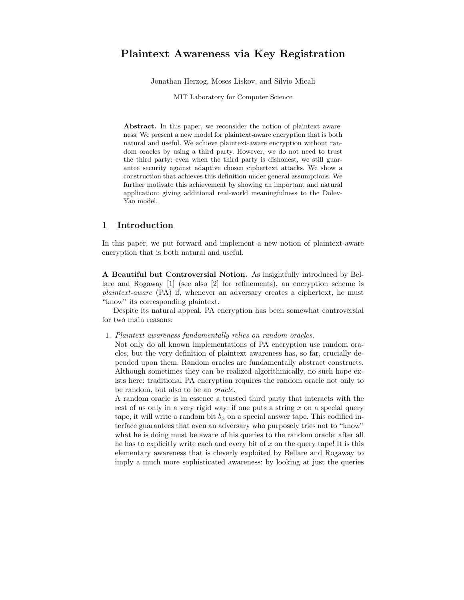# Plaintext Awareness via Key Registration

Jonathan Herzog, Moses Liskov, and Silvio Micali

MIT Laboratory for Computer Science

Abstract. In this paper, we reconsider the notion of plaintext awareness. We present a new model for plaintext-aware encryption that is both natural and useful. We achieve plaintext-aware encryption without random oracles by using a third party. However, we do not need to trust the third party: even when the third party is dishonest, we still guarantee security against adaptive chosen ciphertext attacks. We show a construction that achieves this definition under general assumptions. We further motivate this achievement by showing an important and natural application: giving additional real-world meaningfulness to the Dolev-Yao model.

## 1 Introduction

In this paper, we put forward and implement a new notion of plaintext-aware encryption that is both natural and useful.

A Beautiful but Controversial Notion. As insightfully introduced by Bellare and Rogaway [1] (see also [2] for refinements), an encryption scheme is plaintext-aware (PA) if, whenever an adversary creates a ciphertext, he must "know" its corresponding plaintext.

Despite its natural appeal, PA encryption has been somewhat controversial for two main reasons:

1. Plaintext awareness fundamentally relies on random oracles.

Not only do all known implementations of PA encryption use random oracles, but the very definition of plaintext awareness has, so far, crucially depended upon them. Random oracles are fundamentally abstract constructs. Although sometimes they can be realized algorithmically, no such hope exists here: traditional PA encryption requires the random oracle not only to be random, but also to be an oracle.

A random oracle is in essence a trusted third party that interacts with the rest of us only in a very rigid way: if one puts a string  $x$  on a special query tape, it will write a random bit  $b_x$  on a special answer tape. This codified interface guarantees that even an adversary who purposely tries not to "know" what he is doing must be aware of his queries to the random oracle: after all he has to explicitly write each and every bit of  $x$  on the query tape! It is this elementary awareness that is cleverly exploited by Bellare and Rogaway to imply a much more sophisticated awareness: by looking at just the queries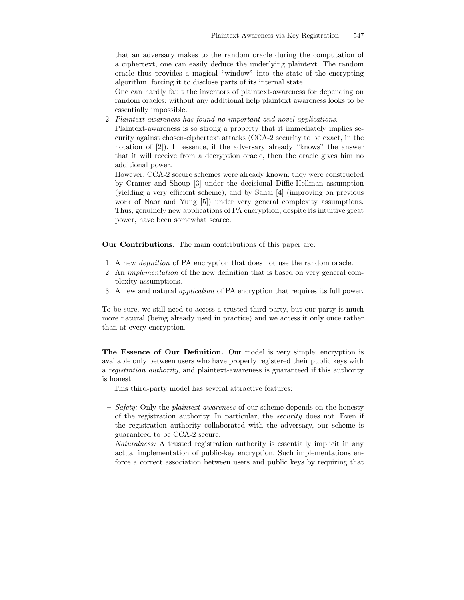that an adversary makes to the random oracle during the computation of a ciphertext, one can easily deduce the underlying plaintext. The random oracle thus provides a magical "window" into the state of the encrypting algorithm, forcing it to disclose parts of its internal state.

One can hardly fault the inventors of plaintext-awareness for depending on random oracles: without any additional help plaintext awareness looks to be essentially impossible.

2. Plaintext awareness has found no important and novel applications.

Plaintext-awareness is so strong a property that it immediately implies security against chosen-ciphertext attacks (CCA-2 security to be exact, in the notation of [2]). In essence, if the adversary already "knows" the answer that it will receive from a decryption oracle, then the oracle gives him no additional power.

However, CCA-2 secure schemes were already known: they were constructed by Cramer and Shoup [3] under the decisional Diffie-Hellman assumption (yielding a very efficient scheme), and by Sahai [4] (improving on previous work of Naor and Yung [5]) under very general complexity assumptions. Thus, genuinely new applications of PA encryption, despite its intuitive great power, have been somewhat scarce.

Our Contributions. The main contributions of this paper are:

- 1. A new definition of PA encryption that does not use the random oracle.
- 2. An implementation of the new definition that is based on very general complexity assumptions.
- 3. A new and natural application of PA encryption that requires its full power.

To be sure, we still need to access a trusted third party, but our party is much more natural (being already used in practice) and we access it only once rather than at every encryption.

The Essence of Our Definition. Our model is very simple: encryption is available only between users who have properly registered their public keys with a registration authority, and plaintext-awareness is guaranteed if this authority is honest.

This third-party model has several attractive features:

- $-$  Safety: Only the *plaintext awareness* of our scheme depends on the honesty of the registration authority. In particular, the security does not. Even if the registration authority collaborated with the adversary, our scheme is guaranteed to be CCA-2 secure.
- Naturalness: A trusted registration authority is essentially implicit in any actual implementation of public-key encryption. Such implementations enforce a correct association between users and public keys by requiring that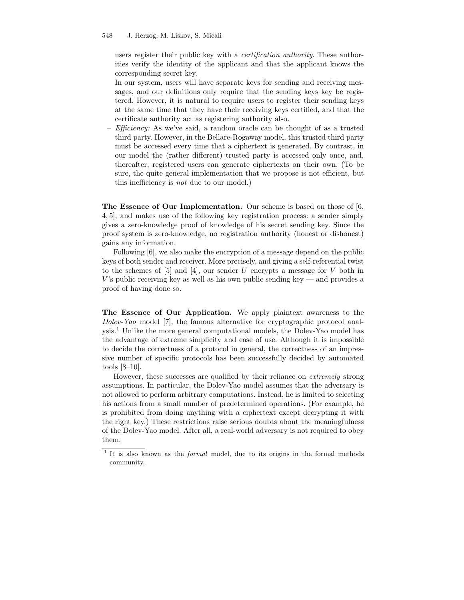users register their public key with a *certification authority*. These authorities verify the identity of the applicant and that the applicant knows the corresponding secret key.

In our system, users will have separate keys for sending and receiving messages, and our definitions only require that the sending keys key be registered. However, it is natural to require users to register their sending keys at the same time that they have their receiving keys certified, and that the certificate authority act as registering authority also.

 $-$  Efficiency: As we've said, a random oracle can be thought of as a trusted third party. However, in the Bellare-Rogaway model, this trusted third party must be accessed every time that a ciphertext is generated. By contrast, in our model the (rather different) trusted party is accessed only once, and, thereafter, registered users can generate ciphertexts on their own. (To be sure, the quite general implementation that we propose is not efficient, but this inefficiency is not due to our model.)

The Essence of Our Implementation. Our scheme is based on those of [6, 4, 5], and makes use of the following key registration process: a sender simply gives a zero-knowledge proof of knowledge of his secret sending key. Since the proof system is zero-knowledge, no registration authority (honest or dishonest) gains any information.

Following [6], we also make the encryption of a message depend on the public keys of both sender and receiver. More precisely, and giving a self-referential twist to the schemes of  $[5]$  and  $[4]$ , our sender U encrypts a message for V both in V's public receiving key as well as his own public sending key — and provides a proof of having done so.

The Essence of Our Application. We apply plaintext awareness to the Dolev-Yao model [7], the famous alternative for cryptographic protocol analysis.<sup>1</sup> Unlike the more general computational models, the Dolev-Yao model has the advantage of extreme simplicity and ease of use. Although it is impossible to decide the correctness of a protocol in general, the correctness of an impressive number of specific protocols has been successfully decided by automated tools [8–10].

However, these successes are qualified by their reliance on extremely strong assumptions. In particular, the Dolev-Yao model assumes that the adversary is not allowed to perform arbitrary computations. Instead, he is limited to selecting his actions from a small number of predetermined operations. (For example, he is prohibited from doing anything with a ciphertext except decrypting it with the right key.) These restrictions raise serious doubts about the meaningfulness of the Dolev-Yao model. After all, a real-world adversary is not required to obey them.

<sup>&</sup>lt;sup>1</sup> It is also known as the *formal* model, due to its origins in the formal methods community.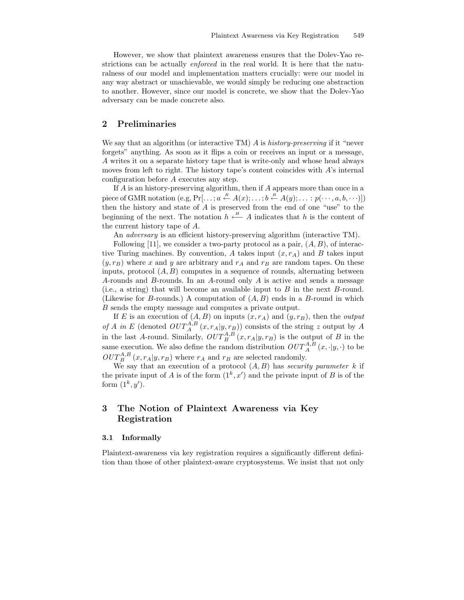However, we show that plaintext awareness ensures that the Dolev-Yao restrictions can be actually enforced in the real world. It is here that the naturalness of our model and implementation matters crucially: were our model in any way abstract or unachievable, we would simply be reducing one abstraction to another. However, since our model is concrete, we show that the Dolev-Yao adversary can be made concrete also.

## 2 Preliminaries

We say that an algorithm (or interactive TM)  $\tilde{A}$  is history-preserving if it "never" forgets" anything. As soon as it flips a coin or receives an input or a message, A writes it on a separate history tape that is write-only and whose head always moves from left to right. The history tape's content coincides with A's internal configuration before A executes any step.

If A is an history-preserving algorithm, then if A appears more than once in a piece of GMR notation  $(e.g., Pr[...; a \stackrel{R}{\leftarrow} A(x);...; b \stackrel{R}{\leftarrow} A(y);...; p(...; a, b, ...)])$ then the history and state of A is preserved from the end of one "use" to the beginning of the next. The notation  $h \stackrel{H}{\longleftarrow} A$  indicates that h is the content of the current history tape of A.

An *adversary* is an efficient history-preserving algorithm (interactive TM).

Following [11], we consider a two-party protocol as a pair,  $(A, B)$ , of interactive Turing machines. By convention, A takes input  $(x, r_A)$  and B takes input  $(y, r_B)$  where x and y are arbitrary and  $r_A$  and  $r_B$  are random tapes. On these inputs, protocol  $(A, B)$  computes in a sequence of rounds, alternating between A-rounds and B-rounds. In an A-round only A is active and sends a message (i.e., a string) that will become an available input to  $B$  in the next  $B$ -round. (Likewise for B-rounds.) A computation of  $(A, B)$  ends in a B-round in which B sends the empty message and computes a private output.

If E is an execution of  $(A, B)$  on inputs  $(x, r_A)$  and  $(y, r_B)$ , then the *output* of A in E (denoted  $OUT_A^{A,B}(x,r_A|y,r_B)$ ) consists of the string z output by A in the last A-round. Similarly,  $OUT_B^{A,B}(x,r_A|y,r_B)$  is the output of B in the same execution. We also define the random distribution  $OUT_A^{A,B}(x, \cdot|y, \cdot)$  to be  $OUT_B^{A,B}(x,r_A|y,r_B)$  where  $r_A$  and  $r_B$  are selected randomly.

We say that an execution of a protocol  $(A, B)$  has security parameter k if the private input of A is of the form  $(1^k, x')$  and the private input of B is of the form  $(1^k, y')$ .

## 3 The Notion of Plaintext Awareness via Key Registration

#### 3.1 Informally

Plaintext-awareness via key registration requires a significantly different definition than those of other plaintext-aware cryptosystems. We insist that not only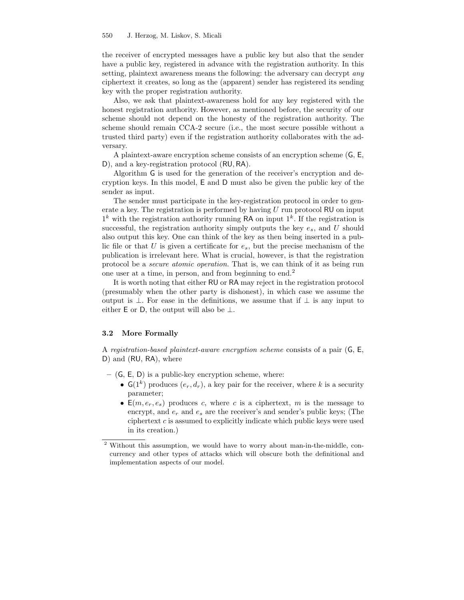the receiver of encrypted messages have a public key but also that the sender have a public key, registered in advance with the registration authority. In this setting, plaintext awareness means the following: the adversary can decrypt any ciphertext it creates, so long as the (apparent) sender has registered its sending key with the proper registration authority.

Also, we ask that plaintext-awareness hold for any key registered with the honest registration authority. However, as mentioned before, the security of our scheme should not depend on the honesty of the registration authority. The scheme should remain CCA-2 secure (i.e., the most secure possible without a trusted third party) even if the registration authority collaborates with the adversary.

A plaintext-aware encryption scheme consists of an encryption scheme (G, E, D), and a key-registration protocol (RU, RA).

Algorithm G is used for the generation of the receiver's encryption and decryption keys. In this model, E and D must also be given the public key of the sender as input.

The sender must participate in the key-registration protocol in order to generate a key. The registration is performed by having  $U$  run protocol RU on input  $1<sup>k</sup>$  with the registration authority running RA on input  $1<sup>k</sup>$ . If the registration is successful, the registration authority simply outputs the key  $e_s$ , and U should also output this key. One can think of the key as then being inserted in a public file or that U is given a certificate for  $e_s$ , but the precise mechanism of the publication is irrelevant here. What is crucial, however, is that the registration protocol be a secure atomic operation. That is, we can think of it as being run one user at a time, in person, and from beginning to end.<sup>2</sup>

It is worth noting that either RU or RA may reject in the registration protocol (presumably when the other party is dishonest), in which case we assume the output is ⊥. For ease in the definitions, we assume that if  $\perp$  is any input to either E or D, the output will also be  $\perp$ .

#### 3.2 More Formally

A registration-based plaintext-aware encryption scheme consists of a pair (G, E, D) and (RU, RA), where

- (G, E, D) is a public-key encryption scheme, where:
	- $\mathsf{G}(1^k)$  produces  $(e_r, d_r)$ , a key pair for the receiver, where k is a security parameter;
	- $E(m, e_r, e_s)$  produces c, where c is a ciphertext, m is the message to encrypt, and  $e_r$  and  $e_s$  are the receiver's and sender's public keys; (The ciphertext  $c$  is assumed to explicitly indicate which public keys were used in its creation.)

<sup>2</sup> Without this assumption, we would have to worry about man-in-the-middle, concurrency and other types of attacks which will obscure both the definitional and implementation aspects of our model.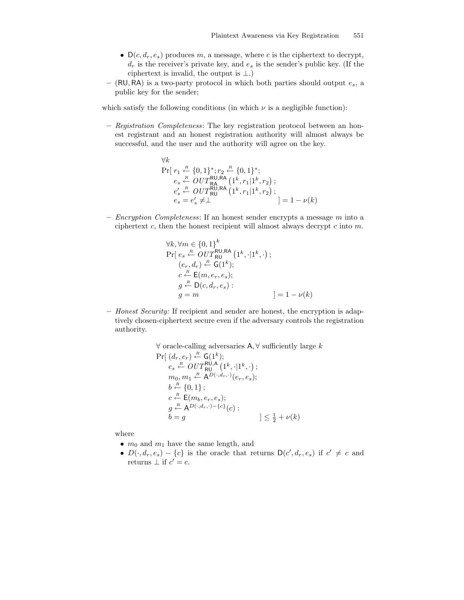- $D(c, d_r, e_s)$  produces m, a message, where c is the ciphertext to decrypt,  $d_r$  is the receiver's private key, and  $e_s$  is the sender's public key. (If the ciphertext is invalid, the output is  $\perp$ .)
- (RU, RA) is a two-party protocol in which both parties should output  $e_s$ , a public key for the sender;

which satisfy the following conditions (in which  $\nu$  is a negligible function):

– Registration Completeness: The key registration protocol between an honest registrant and an honest registration authority will almost always be successful, and the user and the authority will agree on the key.

$$
\forall k
$$
\nPr[  $r_1 \stackrel{R}{\leftarrow} \{0,1\}^*; r_2 \stackrel{R}{\leftarrow} \{0,1\}^*;$ \n
$$
e_s \stackrel{R}{\leftarrow} OUT_{\text{RA}}^{\text{RU},\text{RA}} (1^k, r_1 | 1^k, r_2);
$$
\n
$$
e'_s \stackrel{R}{\leftarrow} OUT_{\text{RU}}^{\text{RU},\text{RA}} (1^k, r_1 | 1^k, r_2);
$$
\n
$$
e_s = e'_s \neq \perp
$$
\n
$$
= 1 - \nu(k)
$$

– *Encryption Completeness*: If an honest sender encrypts a message  $m$  into a ciphertext  $c$ , then the honest recipient will almost always decrypt  $c$  into  $m$ .

$$
\forall k, \forall m \in \{0, 1\}^k
$$
  
Pr[  $e_s \stackrel{R}{\leftarrow} OUT_{\text{RU}}^{\text{RU},\text{RA}} (1^k, \cdot | 1^k, \cdot);$   
 $(e_r, d_r) \stackrel{R}{\leftarrow} \mathsf{G}(1^k);$   
 $c \stackrel{R}{\leftarrow} \mathsf{E}(m, e_r, e_s);$   
 $g \stackrel{R}{\leftarrow} \mathsf{D}(c, d_r, e_s) :$   
 $g = m$   $] = 1 - \nu(k)$ 

– Honest Security: If recipient and sender are honest, the encryption is adaptively chosen-ciphertext secure even if the adversary controls the registration authority.

> $∀$  oracle-calling adversaries A,  $∀$  sufficiently large  $k$  $\Pr[(d_r, e_r) \stackrel{R}{\leftarrow} \mathsf{G}(1^k);$

$$
\Pr[\ (a_r, e_r) \leftarrow G(1^{\circ}); \\
e_s \stackrel{\text{R}}{\leftarrow} OUT_{\text{RU}}^{\text{RU},\text{A}} (1^k, \cdot | 1^k, \cdot); \\
m_0, m_1 \stackrel{\text{R}}{\leftarrow} A^{D(\cdot, d_r, \cdot)} (e_r, e_s); \\
b \stackrel{\text{R}}{\leftarrow} \{0, 1\}; \\
c \stackrel{\text{R}}{\leftarrow} \mathsf{E}(m_b, e_r, e_s); \\
g \stackrel{\text{R}}{\leftarrow} A^{D(\cdot, d_r, \cdot) - \{c\}}(c) : \\
b = g \qquad \qquad ] \leq \frac{1}{2} + \nu(k)
$$

where

- $m_0$  and  $m_1$  have the same length, and
- $D(\cdot, d_r, e_s) \{c\}$  is the oracle that returns  $D(c', d_r, e_s)$  if  $c' \neq c$  and returns  $\perp$  if  $c' = c$ .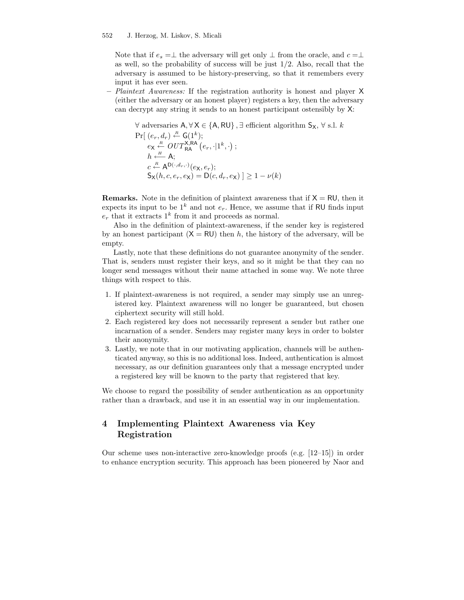Note that if  $e_s = \perp$  the adversary will get only  $\perp$  from the oracle, and  $c = \perp$ as well, so the probability of success will be just  $1/2$ . Also, recall that the adversary is assumed to be history-preserving, so that it remembers every input it has ever seen.

– Plaintext Awareness: If the registration authority is honest and player X (either the adversary or an honest player) registers a key, then the adversary can decrypt any string it sends to an honest participant ostensibly by X:

$$
\forall \text{ adversaries A}, \forall X \in \{A, RU\}, \exists \text{ efficient algorithm } S_X, \forall \text{ s.l. } k
$$
\n
$$
\Pr[\ (e_r, d_r) \stackrel{\text{R}}{\leftarrow} G(1^k);
$$
\n
$$
e_X \stackrel{\text{R}}{\leftarrow} OUT_{\text{RA}}^{\text{RRA}}(e_r, \cdot | 1^k, \cdot);
$$
\n
$$
h \stackrel{\text{H}}{\leftarrow} A;
$$
\n
$$
c \stackrel{\text{R}}{\leftarrow} A^{\text{D}(\cdot, d_r, \cdot)}(e_X, e_r);
$$
\n
$$
S_X(h, c, e_r, e_X) = \text{D}(c, d_r, e_X) \ge 1 - \nu(k)
$$

**Remarks.** Note in the definition of plaintext awareness that if  $X = RU$ , then it expects its input to be  $1^k$  and not  $e_r$ . Hence, we assume that if RU finds input  $e_r$  that it extracts  $1^k$  from it and proceeds as normal.

Also in the definition of plaintext-awareness, if the sender key is registered by an honest participant  $(X = RU)$  then h, the history of the adversary, will be empty.

Lastly, note that these definitions do not guarantee anonymity of the sender. That is, senders must register their keys, and so it might be that they can no longer send messages without their name attached in some way. We note three things with respect to this.

- 1. If plaintext-awareness is not required, a sender may simply use an unregistered key. Plaintext awareness will no longer be guaranteed, but chosen ciphertext security will still hold.
- 2. Each registered key does not necessarily represent a sender but rather one incarnation of a sender. Senders may register many keys in order to bolster their anonymity.
- 3. Lastly, we note that in our motivating application, channels will be authenticated anyway, so this is no additional loss. Indeed, authentication is almost necessary, as our definition guarantees only that a message encrypted under a registered key will be known to the party that registered that key.

We choose to regard the possibility of sender authentication as an opportunity rather than a drawback, and use it in an essential way in our implementation.

## 4 Implementing Plaintext Awareness via Key Registration

Our scheme uses non-interactive zero-knowledge proofs (e.g. [12–15]) in order to enhance encryption security. This approach has been pioneered by Naor and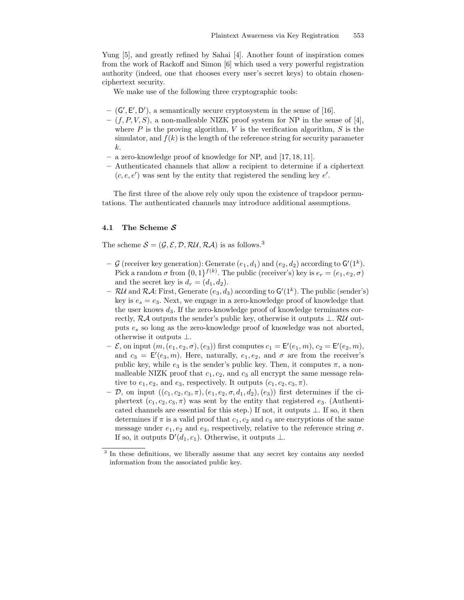Yung [5], and greatly refined by Sahai [4]. Another fount of inspiration comes from the work of Rackoff and Simon [6] which used a very powerful registration authority (indeed, one that chooses every user's secret keys) to obtain chosenciphertext security.

We make use of the following three cryptographic tools:

- $-$  (G', E', D'), a semantically secure cryptosystem in the sense of [16].
- $(f, P, V, S)$ , a non-malleable NIZK proof system for NP in the sense of [4], where  $P$  is the proving algorithm,  $V$  is the verification algorithm,  $S$  is the simulator, and  $f(k)$  is the length of the reference string for security parameter k.
- a zero-knowledge proof of knowledge for NP, and [17, 18, 11].
- Authenticated channels that allow a recipient to determine if a ciphertext  $(c, e, e')$  was sent by the entity that registered the sending key  $e'$ .

The first three of the above rely only upon the existence of trapdoor permutations. The authenticated channels may introduce additional assumptions.

#### 4.1 The Scheme  $S$

The scheme  $S = (G, \mathcal{E}, \mathcal{D}, \mathcal{RU}, \mathcal{RA})$  is as follows.<sup>3</sup>

- $-$  G (receiver key generation): Generate  $(e_1, d_1)$  and  $(e_2, d_2)$  according to  $\mathsf{G}'(1^k)$ . Pick a random  $\sigma$  from  $\{0,1\}^{f(k)}$ . The public (receiver's) key is  $e_r = (e_1, e_2, \sigma)$ and the secret key is  $d_r = (d_1, d_2)$ .
- $-$  RU and RA: First, Generate  $(e_3, d_3)$  according to  $\mathsf{G}'(1^k)$ . The public (sender's) key is  $e_s = e_3$ . Next, we engage in a zero-knowledge proof of knowledge that the user knows  $d_3$ . If the zero-knowledge proof of knowledge terminates correctly,  $R\mathcal{A}$  outputs the sender's public key, otherwise it outputs  $\perp$ .  $\mathcal{R}\mathcal{U}$  outputs e<sup>s</sup> so long as the zero-knowledge proof of knowledge was not aborted, otherwise it outputs ⊥.
- $\mathcal{E}$ , on input  $(m, (e_1, e_2, \sigma), (e_3))$  first computes  $c_1 = \mathsf{E}'(e_1, m), c_2 = \mathsf{E}'(e_2, m)$ , and  $c_3 = \mathsf{E}'(e_3,m)$ . Here, naturally,  $e_1, e_2$ , and  $\sigma$  are from the receiver's public key, while  $e_3$  is the sender's public key. Then, it computes  $\pi$ , a nonmalleable NIZK proof that  $c_1, c_2$ , and  $c_3$  all encrypt the same message relative to  $e_1, e_2$ , and  $e_3$ , respectively. It outputs  $(c_1, c_2, c_3, \pi)$ .
- $-$  D, on input  $((c_1, c_2, c_3, \pi), (e_1, e_2, \sigma, d_1, d_2), (e_3))$  first determines if the ciphertext  $(c_1, c_2, c_3, \pi)$  was sent by the entity that registered  $e_3$ . (Authenticated channels are essential for this step.) If not, it outputs  $\perp$ . If so, it then determines if  $\pi$  is a valid proof that  $c_1, c_2$  and  $c_3$  are encryptions of the same message under  $e_1, e_2$  and  $e_3$ , respectively, relative to the reference string  $\sigma$ . If so, it outputs  $\mathsf{D}'(d_1, c_1)$ . Otherwise, it outputs  $\bot$ .

<sup>&</sup>lt;sup>3</sup> In these definitions, we liberally assume that any secret key contains any needed information from the associated public key.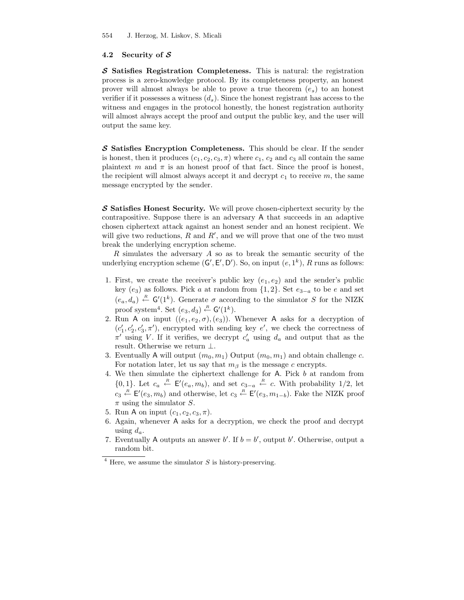#### 4.2 Security of  $S$

S Satisfies Registration Completeness. This is natural: the registration process is a zero-knowledge protocol. By its completeness property, an honest prover will almost always be able to prove a true theorem  $(e_s)$  to an honest verifier if it possesses a witness  $(d_s)$ . Since the honest registrant has access to the witness and engages in the protocol honestly, the honest registration authority will almost always accept the proof and output the public key, and the user will output the same key.

S Satisfies Encryption Completeness. This should be clear. If the sender is honest, then it produces  $(c_1, c_2, c_3, \pi)$  where  $c_1, c_2$  and  $c_3$  all contain the same plaintext m and  $\pi$  is an honest proof of that fact. Since the proof is honest, the recipient will almost always accept it and decrypt  $c_1$  to receive m, the same message encrypted by the sender.

S Satisfies Honest Security. We will prove chosen-ciphertext security by the contrapositive. Suppose there is an adversary A that succeeds in an adaptive chosen ciphertext attack against an honest sender and an honest recipient. We will give two reductions,  $R$  and  $R'$ , and we will prove that one of the two must break the underlying encryption scheme.

R simulates the adversary A so as to break the semantic security of the underlying encryption scheme  $(G', E', D')$ . So, on input  $(e, 1^k)$ , R runs as follows:

- 1. First, we create the receiver's public key  $(e_1, e_2)$  and the sender's public key  $(e_3)$  as follows. Pick a at random from  $\{1,2\}$ . Set  $e_{3-a}$  to be e and set  $(e_a, d_a) \stackrel{R}{\leftarrow} G'(1^k)$ . Generate  $\sigma$  according to the simulator S for the NIZK proof system<sup>4</sup>. Set  $(e_3, d_3) \stackrel{R}{\leftarrow} \mathsf{G}'(1^k)$ .
- 2. Run A on input  $((e_1, e_2, \sigma), (e_3))$ . Whenever A asks for a decryption of  $(c'_1, c'_2, c'_3, \pi')$ , encrypted with sending key  $e'$ , we check the correctness of  $\pi'$  using V. If it verifies, we decrypt  $c'_a$  using  $d_a$  and output that as the result. Otherwise we return  $\perp$ .
- 3. Eventually A will output  $(m_0, m_1)$  Output  $(m_0, m_1)$  and obtain challenge c. For notation later, let us say that  $m_\beta$  is the message c encrypts.
- 4. We then simulate the ciphertext challenge for A. Pick b at random from  $\{0,1\}$ . Let  $c_a \stackrel{R}{\leftarrow} E'(e_a, m_b)$ , and set  $c_{3-a} \stackrel{R}{\leftarrow} c$ . With probability 1/2, let  $c_3 \stackrel{R}{\leftarrow} \mathsf{E}'(e_3, m_b)$  and otherwise, let  $c_3 \stackrel{R}{\leftarrow} \mathsf{E}'(e_3, m_{1-b})$ . Fake the NIZK proof  $\pi$  using the simulator S.
- 5. Run A on input  $(c_1, c_2, c_3, \pi)$ .
- 6. Again, whenever A asks for a decryption, we check the proof and decrypt using  $d_a$ .
- 7. Eventually A outputs an answer b'. If  $b = b'$ , output b'. Otherwise, output a random bit.

 $<sup>4</sup>$  Here, we assume the simulator S is history-preserving.</sup>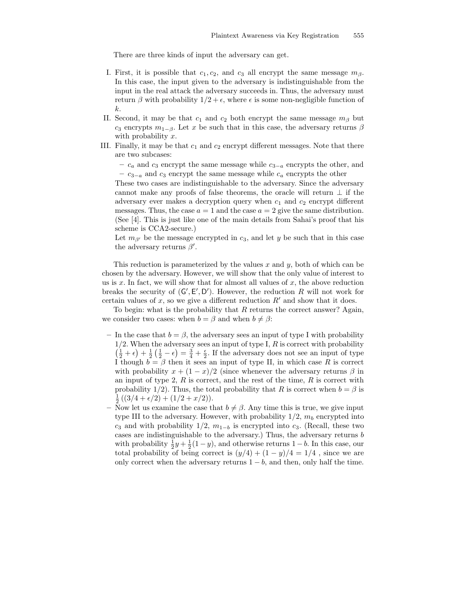There are three kinds of input the adversary can get.

- I. First, it is possible that  $c_1, c_2$ , and  $c_3$  all encrypt the same message  $m_\beta$ . In this case, the input given to the adversary is indistinguishable from the input in the real attack the adversary succeeds in. Thus, the adversary must return  $\beta$  with probability  $1/2 + \epsilon$ , where  $\epsilon$  is some non-negligible function of k.
- II. Second, it may be that  $c_1$  and  $c_2$  both encrypt the same message  $m_\beta$  but c<sub>3</sub> encrypts  $m_{1-\beta}$ . Let x be such that in this case, the adversary returns  $\beta$ with probability  $x$ .
- III. Finally, it may be that  $c_1$  and  $c_2$  encrypt different messages. Note that there are two subcases:
	- $c_a$  and  $c_3$  encrypt the same message while  $c_{3-a}$  encrypts the other, and  $− c_{3-a}$  and  $c_3$  encrypt the same message while  $c_a$  encrypts the other

These two cases are indistinguishable to the adversary. Since the adversary cannot make any proofs of false theorems, the oracle will return  $\perp$  if the adversary ever makes a decryption query when  $c_1$  and  $c_2$  encrypt different messages. Thus, the case  $a = 1$  and the case  $a = 2$  give the same distribution. (See [4]. This is just like one of the main details from Sahai's proof that his scheme is CCA2-secure.)

Let  $m_{\beta}$  be the message encrypted in c<sub>3</sub>, and let y be such that in this case the adversary returns  $\beta'$ .

This reduction is parameterized by the values  $x$  and  $y$ , both of which can be chosen by the adversary. However, we will show that the only value of interest to us is  $x$ . In fact, we will show that for almost all values of  $x$ , the above reduction breaks the security of  $(G', E', D')$ . However, the reduction R will not work for certain values of x, so we give a different reduction  $R'$  and show that it does.

To begin: what is the probability that  $R$  returns the correct answer? Again, we consider two cases: when  $b = \beta$  and when  $b \neq \beta$ :

- In the case that  $b = \beta$ , the adversary sees an input of type I with probability  $1/2$ . When the adversary sees an input of type I, R is correct with probability  $\left(\frac{1}{2} + \epsilon\right) + \frac{1}{2}\left(\frac{1}{2} - \epsilon\right) = \frac{3}{4} + \frac{\epsilon}{2}$ . If the adversary does not see an input of type I though  $b = \beta$  then it sees an input of type II, in which case R is correct with probability  $x + (1 - x)/2$  (since whenever the adversary returns  $\beta$  in an input of type 2,  $R$  is correct, and the rest of the time,  $R$  is correct with probability 1/2). Thus, the total probability that R is correct when  $b = \beta$  is  $\frac{1}{2}((3/4+\epsilon/2)+(1/2+x/2)).$
- Now let us examine the case that  $b \neq \beta$ . Any time this is true, we give input type III to the adversary. However, with probability  $1/2$ ,  $m_b$  encrypted into  $c_3$  and with probability 1/2,  $m_{1-b}$  is encrypted into  $c_3$ . (Recall, these two cases are indistinguishable to the adversary.) Thus, the adversary returns  $b$ with probability  $\frac{1}{2}y + \frac{1}{2}(1 - y)$ , and otherwise returns  $1 - b$ . In this case, our total probability of being correct is  $(y/4) + (1 - y)/4 = 1/4$ , since we are only correct when the adversary returns  $1 - b$ , and then, only half the time.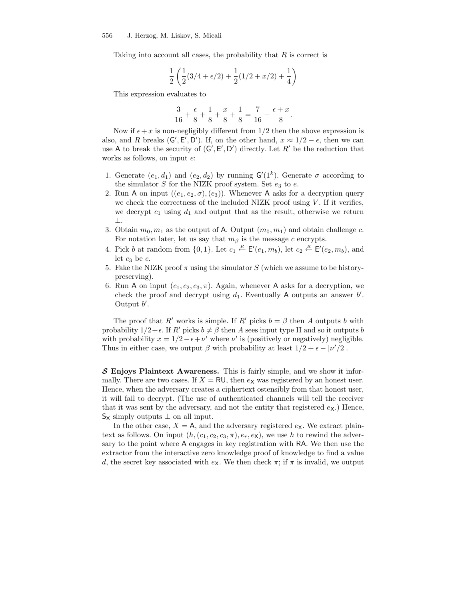Taking into account all cases, the probability that R is correct is

$$
\frac{1}{2}\left(\frac{1}{2}(3/4+\epsilon/2)+\frac{1}{2}(1/2+x/2)+\frac{1}{4}\right)
$$

This expression evaluates to

$$
\frac{3}{16} + \frac{6}{8} + \frac{1}{8} + \frac{x}{8} + \frac{1}{8} = \frac{7}{16} + \frac{6+x}{8}.
$$

Now if  $\epsilon + x$  is non-negligibly different from 1/2 then the above expression is also, and R breaks  $(G', E', D')$ . If, on the other hand,  $x \approx 1/2 - \epsilon$ , then we can use A to break the security of  $(G, E', D')$  directly. Let R' be the reduction that works as follows, on input e:

- 1. Generate  $(e_1, d_1)$  and  $(e_2, d_2)$  by running  $\mathsf{G}'(1^k)$ . Generate  $\sigma$  according to the simulator  $S$  for the NIZK proof system. Set  $e_3$  to  $e$ .
- 2. Run A on input  $((e_1, e_2, \sigma), (e_3))$ . Whenever A asks for a decryption query we check the correctness of the included NIZK proof using  $V$ . If it verifies, we decrypt  $c_1$  using  $d_1$  and output that as the result, otherwise we return ⊥.
- 3. Obtain  $m_0, m_1$  as the output of A. Output  $(m_0, m_1)$  and obtain challenge c. For notation later, let us say that  $m_\beta$  is the message c encrypts.
- 4. Pick b at random from  $\{0,1\}$ . Let  $c_1 \stackrel{R}{\leftarrow} \mathsf{E}'(e_1,m_b)$ , let  $c_2 \stackrel{R}{\leftarrow} \mathsf{E}'(e_2,m_b)$ , and let  $c_3$  be  $c$ .
- 5. Fake the NIZK proof  $\pi$  using the simulator S (which we assume to be historypreserving).
- 6. Run A on input  $(c_1, c_2, c_3, \pi)$ . Again, whenever A asks for a decryption, we check the proof and decrypt using  $d_1$ . Eventually A outputs an answer  $b'$ . Output  $b'$ .

The proof that R' works is simple. If R' picks  $b = \beta$  then A outputs b with probability  $1/2+\epsilon$ . If R' picks  $b \neq \beta$  then A sees input type II and so it outputs b with probability  $x = 1/2 - \epsilon + \nu'$  where  $\nu'$  is (positively or negatively) negligible. Thus in either case, we output  $\beta$  with probability at least  $1/2 + \epsilon - |\nu'/2|$ .

S Enjoys Plaintext Awareness. This is fairly simple, and we show it informally. There are two cases. If  $X = \mathsf{RU}$ , then  $e_\mathsf{X}$  was registered by an honest user. Hence, when the adversary creates a ciphertext ostensibly from that honest user, it will fail to decrypt. (The use of authenticated channels will tell the receiver that it was sent by the adversary, and not the entity that registered  $e_{\mathbf{X}}$ .) Hence,  $S_X$  simply outputs  $\perp$  on all input.

In the other case,  $X = A$ , and the adversary registered  $e_X$ . We extract plaintext as follows. On input  $(h, (c_1, c_2, c_3, \pi), e_r, e_{\mathsf{X}})$ , we use h to rewind the adversary to the point where A engages in key registration with RA. We then use the extractor from the interactive zero knowledge proof of knowledge to find a value d, the secret key associated with  $e_{\mathsf{X}}$ . We then check  $\pi$ ; if  $\pi$  is invalid, we output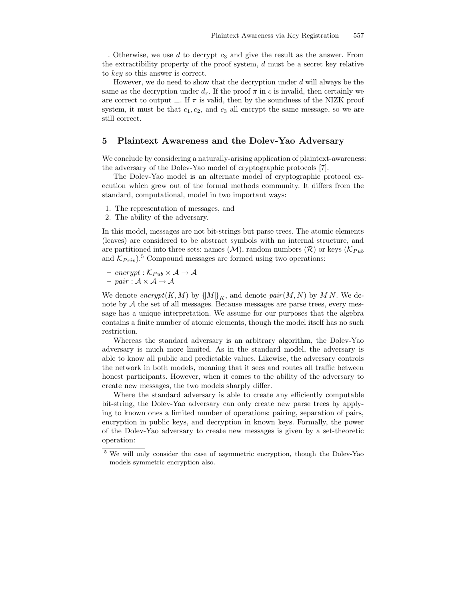⊥. Otherwise, we use d to decrypt  $c_3$  and give the result as the answer. From the extractibility property of the proof system,  $d$  must be a secret key relative to key so this answer is correct.

However, we do need to show that the decryption under  $d$  will always be the same as the decryption under  $d_r$ . If the proof  $\pi$  in c is invalid, then certainly we are correct to output  $\bot$ . If  $\pi$  is valid, then by the soundness of the NIZK proof system, it must be that  $c_1, c_2$ , and  $c_3$  all encrypt the same message, so we are still correct.

### 5 Plaintext Awareness and the Dolev-Yao Adversary

We conclude by considering a naturally-arising application of plaintext-awareness: the adversary of the Dolev-Yao model of cryptographic protocols [7].

The Dolev-Yao model is an alternate model of cryptographic protocol execution which grew out of the formal methods community. It differs from the standard, computational, model in two important ways:

- 1. The representation of messages, and
- 2. The ability of the adversary.

In this model, messages are not bit-strings but parse trees. The atomic elements (leaves) are considered to be abstract symbols with no internal structure, and are partitioned into three sets: names  $(\mathcal{M})$ , random numbers  $(\mathcal{R})$  or keys  $(\mathcal{K}_{Pub}$ and  $\mathcal{K}_{Priv}$ .<sup>5</sup> Compound messages are formed using two operations:

$$
-~\mathit{encrypt}: \mathcal{K}_{Pub} \times \mathcal{A} \to \mathcal{A} \newline - ~\mathit{pair}: \mathcal{A} \times \mathcal{A} \to \mathcal{A}
$$

We denote  $\mathit{encrypt}(K, M)$  by  $\{M\}_{K}$ , and denote  $\mathit{pair}(M, N)$  by MN. We denote by  $A$  the set of all messages. Because messages are parse trees, every message has a unique interpretation. We assume for our purposes that the algebra contains a finite number of atomic elements, though the model itself has no such restriction.

Whereas the standard adversary is an arbitrary algorithm, the Dolev-Yao adversary is much more limited. As in the standard model, the adversary is able to know all public and predictable values. Likewise, the adversary controls the network in both models, meaning that it sees and routes all traffic between honest participants. However, when it comes to the ability of the adversary to create new messages, the two models sharply differ.

Where the standard adversary is able to create any efficiently computable bit-string, the Dolev-Yao adversary can only create new parse trees by applying to known ones a limited number of operations: pairing, separation of pairs, encryption in public keys, and decryption in known keys. Formally, the power of the Dolev-Yao adversary to create new messages is given by a set-theoretic operation:

<sup>5</sup> We will only consider the case of asymmetric encryption, though the Dolev-Yao models symmetric encryption also.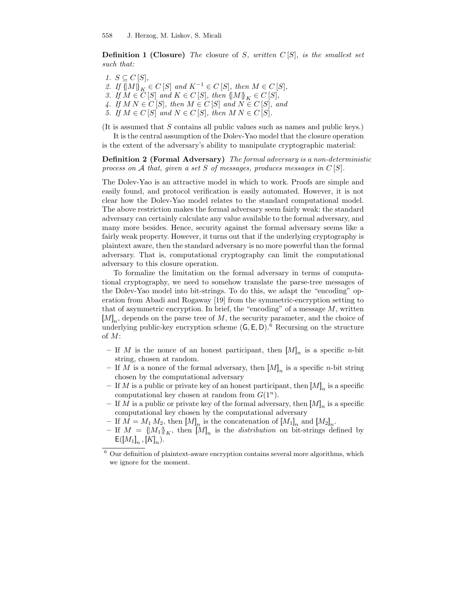**Definition 1 (Closure)** The closure of S, written  $C[S]$ , is the smallest set such that:

1.  $S \subseteq C [S],$ 2. If  $\{M\}_{K} \in C[S]$  and  $K^{-1} \in C[S]$ , then  $M \in C[S]$ , 3. If  $M \in C[S]$  and  $K \in C[S]$ , then  $\{M\}_K \in C[S]$ , 4. If  $M N \in C[S]$ , then  $M \in C[S]$  and  $N \in C[S]$ , and 5. If  $M \in C[S]$  and  $N \in C[S]$ , then  $M N \in C[S]$ .

(It is assumed that S contains all public values such as names and public keys.) It is the central assumption of the Dolev-Yao model that the closure operation is the extent of the adversary's ability to manipulate cryptographic material:

Definition 2 (Formal Adversary) The formal adversary is a non-deterministic process on A that, given a set S of messages, produces messages in  $C[S]$ .

The Dolev-Yao is an attractive model in which to work. Proofs are simple and easily found, and protocol verification is easily automated. However, it is not clear how the Dolev-Yao model relates to the standard computational model. The above restriction makes the formal adversary seem fairly weak: the standard adversary can certainly calculate any value available to the formal adversary, and many more besides. Hence, security against the formal adversary seems like a fairly weak property. However, it turns out that if the underlying cryptography is plaintext aware, then the standard adversary is no more powerful than the formal adversary. That is, computational cryptography can limit the computational adversary to this closure operation.

To formalize the limitation on the formal adversary in terms of computational cryptography, we need to somehow translate the parse-tree messages of the Dolev-Yao model into bit-strings. To do this, we adapt the "encoding" operation from Abadi and Rogaway [19] from the symmetric-encryption setting to that of asymmetric encryption. In brief, the "encoding" of a message  $M$ , written  $[M]_n$ , depends on the parse tree of M, the security parameter, and the choice of underlying public-key encryption scheme  $(G, E, D)$ .<sup>6</sup> Recursing on the structure of M:

- If M is the nonce of an honest participant, then  $[M]_n$  is a specific n-bit string, chosen at random.
- If M is a nonce of the formal adversary, then  $[M]_n$  is a specific *n*-bit string chosen by the computational adversary
- $-$  If M is a public or private key of an honest participant, then  $[M]_n$  is a specific computational key chosen at random from  $G(1^n)$ .
- $-$  If M is a public or private key of the formal adversary, then  $[M]_n$  is a specific computational key chosen by the computational adversary
- If  $M = M_1 M_2$ , then  $[M]_n$  is the concatenation of  $[M_1]_n$  and  $[M_2]_n$ .
- If  $M = \{M_1\}_{K}$ , then  $[M]_n$  is the *distribution* on bit-strings defined by  $\mathsf{E}([M_1]_n, [K]_n).$

 $^6$  Our definition of plaintext-aware encryption contains several more algorithms, which we ignore for the moment.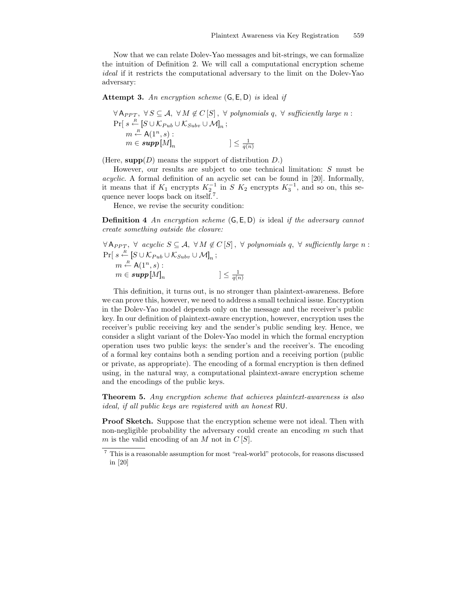Now that we can relate Dolev-Yao messages and bit-strings, we can formalize the intuition of Definition 2. We will call a computational encryption scheme ideal if it restricts the computational adversary to the limit on the Dolev-Yao adversary:

#### **Attempt 3.** An encryption scheme  $(G, E, D)$  is ideal if

 $\forall$ A<sub>PPT</sub>,  $\forall$ S  $\subseteq$  A,  $\forall$  M  $\notin$  C[S],  $\forall$  polynomials q,  $\forall$  sufficiently large n:  $\Pr[ s \stackrel{R}{\leftarrow} [S \cup \mathcal{K}_{Pub} \cup \mathcal{K}_{Subv} \cup \mathcal{M}]_n;$  $m \stackrel{R}{\leftarrow} \mathsf{A}(1^n, s):$  $m \in \mathbf{supp}[M]_n$  $]\leq \frac{1}{q(n)}$ 

(Here,  $\text{supp}(D)$ ) means the support of distribution D.)

However, our results are subject to one technical limitation: S must be acyclic. A formal definition of an acyclic set can be found in [20]. Informally, it means that if  $K_1$  encrypts  $K_2^{-1}$  in S  $K_2$  encrypts  $K_3^{-1}$ , and so on, this sequence never loops back on itself.<sup>7</sup> .

Hence, we revise the security condition:

**Definition 4** An encryption scheme  $(G, E, D)$  is ideal if the adversary cannot create something outside the closure:

 $\forall$  A<sub>PPT</sub>,  $\forall$  acyclic  $S \subseteq A$ ,  $\forall$  M  $\notin C[S]$ ,  $\forall$  polynomials q,  $\forall$  sufficiently large n:  $\Pr[ s \stackrel{R}{\leftarrow} [S \cup \mathcal{K}_{Pub} \cup \mathcal{K}_{Subv} \cup \mathcal{M}]_n;$ 

 $m \stackrel{R}{\leftarrow} \mathsf{A}(1^n, s)$  :  $m \in \mathbf{supp}[M]_n$  $]\leq \frac{1}{q(n)}$ 

This definition, it turns out, is no stronger than plaintext-awareness. Before we can prove this, however, we need to address a small technical issue. Encryption in the Dolev-Yao model depends only on the message and the receiver's public key. In our definition of plaintext-aware encryption, however, encryption uses the receiver's public receiving key and the sender's public sending key. Hence, we consider a slight variant of the Dolev-Yao model in which the formal encryption operation uses two public keys: the sender's and the receiver's. The encoding of a formal key contains both a sending portion and a receiving portion (public or private, as appropriate). The encoding of a formal encryption is then defined using, in the natural way, a computational plaintext-aware encryption scheme and the encodings of the public keys.

**Theorem 5.** Any encryption scheme that achieves plaintext-awareness is also ideal, if all public keys are registered with an honest RU.

Proof Sketch. Suppose that the encryption scheme were not ideal. Then with non-negligible probability the adversary could create an encoding  $m$  such that m is the valid encoding of an M not in  $C[S]$ .

 $^7$  This is a reasonable assumption for most "real-world" protocols, for reasons discussed in [20]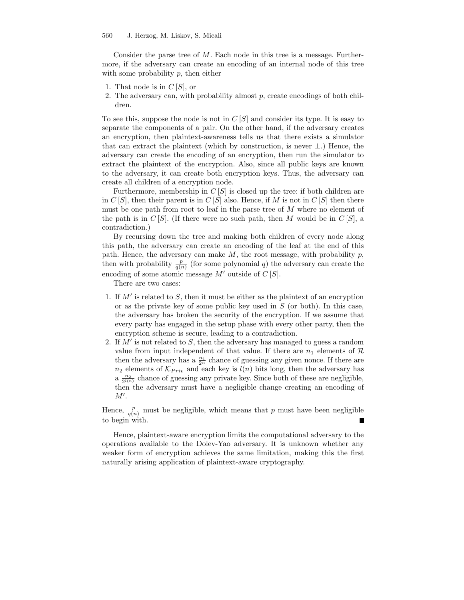Consider the parse tree of  $M$ . Each node in this tree is a message. Furthermore, if the adversary can create an encoding of an internal node of this tree with some probability  $p$ , then either

- 1. That node is in  $C[S]$ , or
- 2. The adversary can, with probability almost  $p$ , create encodings of both children.

To see this, suppose the node is not in  $C[S]$  and consider its type. It is easy to separate the components of a pair. On the other hand, if the adversary creates an encryption, then plaintext-awareness tells us that there exists a simulator that can extract the plaintext (which by construction, is never  $\perp$ .) Hence, the adversary can create the encoding of an encryption, then run the simulator to extract the plaintext of the encryption. Also, since all public keys are known to the adversary, it can create both encryption keys. Thus, the adversary can create all children of a encryption node.

Furthermore, membership in  $C[S]$  is closed up the tree: if both children are in C  $[S]$ , then their parent is in C  $[S]$  also. Hence, if M is not in C  $[S]$  then there must be one path from root to leaf in the parse tree of M where no element of the path is in C  $[S]$ . (If there were no such path, then M would be in C  $[S]$ , a contradiction.)

By recursing down the tree and making both children of every node along this path, the adversary can create an encoding of the leaf at the end of this path. Hence, the adversary can make  $M$ , the root message, with probability  $p$ , then with probability  $\frac{p}{q(n)}$  (for some polynomial q) the adversary can create the encoding of some atomic message  $M'$  outside of  $C [S]$ .

There are two cases:

- 1. If  $M'$  is related to  $S$ , then it must be either as the plaintext of an encryption or as the private key of some public key used in  $S$  (or both). In this case, the adversary has broken the security of the encryption. If we assume that every party has engaged in the setup phase with every other party, then the encryption scheme is secure, leading to a contradiction.
- 2. If  $M'$  is not related to  $S$ , then the adversary has managed to guess a random value from input independent of that value. If there are  $n_1$  elements of  $\mathcal R$ then the adversary has a  $\frac{n_1}{2^n}$  chance of guessing any given nonce. If there are  $n_2$  elements of  $\mathcal{K}_{Priv}$  and each key is  $l(n)$  bits long, then the adversary has a  $\frac{n_2}{2^{l(n)}}$  chance of guessing any private key. Since both of these are negligible, then the adversary must have a negligible change creating an encoding of  $M'.$

Hence,  $\frac{p}{q(n)}$  must be negligible, which means that p must have been negligible to begin with.

Hence, plaintext-aware encryption limits the computational adversary to the operations available to the Dolev-Yao adversary. It is unknown whether any weaker form of encryption achieves the same limitation, making this the first naturally arising application of plaintext-aware cryptography.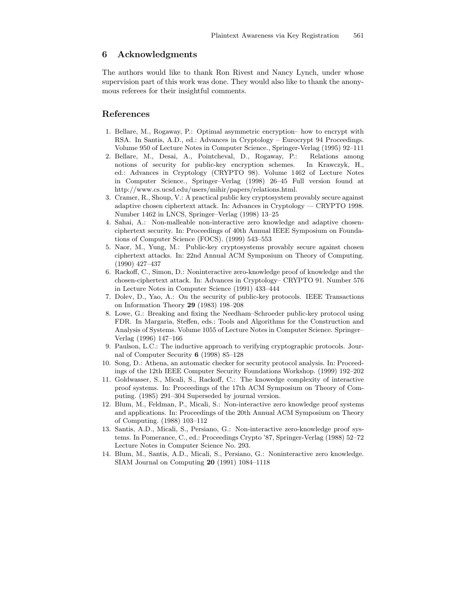## 6 Acknowledgments

The authors would like to thank Ron Rivest and Nancy Lynch, under whose supervision part of this work was done. They would also like to thank the anonymous referees for their insightful comments.

## References

- 1. Bellare, M., Rogaway, P.: Optimal asymmetric encryption– how to encrypt with RSA. In Santis, A.D., ed.: Advances in Cryptology – Eurocrypt 94 Proceedings. Volume 950 of Lecture Notes in Computer Science., Springer-Verlag (1995) 92–111
- 2. Bellare, M., Desai, A., Pointcheval, D., Rogaway, P.: Relations among notions of security for public-key encryption schemes. In Krawczyk, H., ed.: Advances in Cryptology (CRYPTO 98). Volume 1462 of Lecture Notes in Computer Science., Springer–Verlag (1998) 26–45 Full version found at http://www.cs.ucsd.edu/users/mihir/papers/relations.html.
- 3. Cramer, R., Shoup, V.: A practical public key cryptosystem provably secure against adaptive chosen ciphertext attack. In: Advances in Cryptology — CRYPTO 1998. Number 1462 in LNCS, Springer–Verlag (1998) 13–25
- 4. Sahai, A.: Non-malleable non-interactive zero knowledge and adaptive chosenciphertext security. In: Proceedings of 40th Annual IEEE Symposium on Foundations of Computer Science (FOCS). (1999) 543–553
- 5. Naor, M., Yung, M.: Public-key cryptosystems provably secure against chosen ciphertext attacks. In: 22nd Annual ACM Symposium on Theory of Computing. (1990) 427–437
- 6. Rackoff, C., Simon, D.: Noninteractive zero-knowledge proof of knowledge and the chosen-ciphertext attack. In: Advances in Cryptology– CRYPTO 91. Number 576 in Lecture Notes in Computer Science (1991) 433–444
- 7. Dolev, D., Yao, A.: On the security of public-key protocols. IEEE Transactions on Information Theory 29 (1983) 198–208
- 8. Lowe, G.: Breaking and fixing the Needham–Schroeder public-key protocol using FDR. In Margaria, Steffen, eds.: Tools and Algorithms for the Construction and Analysis of Systems. Volume 1055 of Lecture Notes in Computer Science. Springer– Verlag (1996) 147–166
- 9. Paulson, L.C.: The inductive approach to verifying cryptographic protocols. Journal of Computer Security 6 (1998) 85–128
- 10. Song, D.: Athena, an automatic checker for security protocol analysis. In: Proceedings of the 12th IEEE Computer Security Foundations Workshop. (1999) 192–202
- 11. Goldwasser, S., Micali, S., Rackoff, C.: The knowedge complexity of interactive proof systems. In: Proceedings of the 17th ACM Symposium on Theory of Computing. (1985) 291–304 Superseded by journal version.
- 12. Blum, M., Feldman, P., Micali, S.: Non-interactive zero knowledge proof systems and applications. In: Proceedings of the 20th Annual ACM Symposium on Theory of Computing. (1988) 103–112
- 13. Santis, A.D., Micali, S., Persiano, G.: Non-interactive zero-knowledge proof systems. In Pomerance, C., ed.: Proceedings Crypto '87, Springer-Verlag (1988) 52–72 Lecture Notes in Computer Science No. 293.
- 14. Blum, M., Santis, A.D., Micali, S., Persiano, G.: Noninteractive zero knowledge. SIAM Journal on Computing 20 (1991) 1084–1118